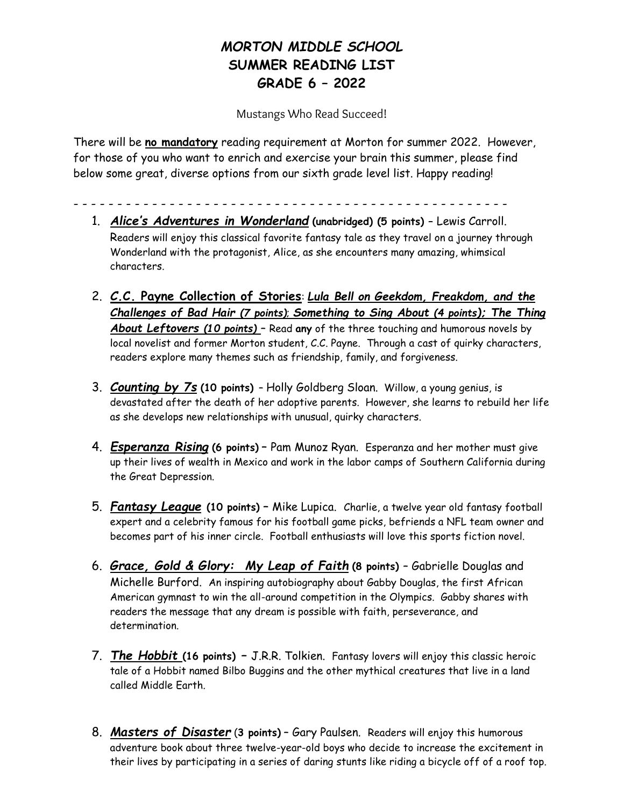## *MORTON MIDDLE SCHOOL* **SUMMER READING LIST GRADE 6 – 2022**

Mustangs Who Read Succeed!

There will be **no mandatory** reading requirement at Morton for summer 2022. However, for those of you who want to enrich and exercise your brain this summer, please find below some great, diverse options from our sixth grade level list. Happy reading!

- - - - - - - - - - - - - - - - - - - - - - - - - -
	- 1. *Alice's Adventures in Wonderland* **(unabridged) (5 points) –** Lewis Carroll. Readers will enjoy this classical favorite fantasy tale as they travel on a journey through Wonderland with the protagonist, Alice, as she encounters many amazing, whimsical characters.
	- 2. *C.***C. Payne Collection of Stories**: *Lula Bell on Geekdom, Freakdom, and the Challenges of Bad Hair (7 points)*; *Something to Sing About (4 points); The Thing About Leftovers (10 points)* – Read **any** of the three touching and humorous novels by local novelist and former Morton student, C.C. Payne. Through a cast of quirky characters, readers explore many themes such as friendship, family, and forgiveness.
	- 3. *Counting by 7s* **(10 points)** Holly Goldberg Sloan. Willow, a young genius, is devastated after the death of her adoptive parents. However, she learns to rebuild her life as she develops new relationships with unusual, quirky characters.
	- 4. *Esperanza Rising* **(6 points)** Pam Munoz Ryan. Esperanza and her mother must give up their lives of wealth in Mexico and work in the labor camps of Southern California during the Great Depression.
	- 5. *Fantasy League* **(10 points)** Mike Lupica. Charlie, a twelve year old fantasy football expert and a celebrity famous for his football game picks, befriends a NFL team owner and becomes part of his inner circle. Football enthusiasts will love this sports fiction novel.
	- 6. *Grace, Gold & Glory: My Leap of Faith* **(8 points)**  Gabrielle Douglas and Michelle Burford. An inspiring autobiography about Gabby Douglas, the first African American gymnast to win the all-around competition in the Olympics. Gabby shares with readers the message that any dream is possible with faith, perseverance, and determination.
	- 7. *The Hobbit* **(16 points)** *–* J.R.R. Tolkien. Fantasy lovers will enjoy this classic heroic tale of a Hobbit named Bilbo Buggins and the other mythical creatures that live in a land called Middle Earth.
	- 8. *Masters of Disaster* (**3 points)** Gary Paulsen. Readers will enjoy this humorous adventure book about three twelve-year-old boys who decide to increase the excitement in their lives by participating in a series of daring stunts like riding a bicycle off of a roof top.